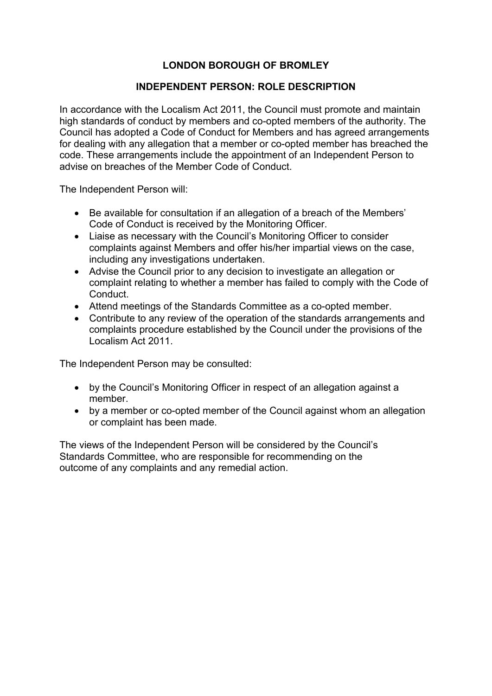## **LONDON BOROUGH OF BROMLEY**

## **INDEPENDENT PERSON: ROLE DESCRIPTION**

In accordance with the Localism Act 2011, the Council must promote and maintain high standards of conduct by members and co-opted members of the authority. The Council has adopted a Code of Conduct for Members and has agreed arrangements for dealing with any allegation that a member or co-opted member has breached the code. These arrangements include the appointment of an Independent Person to advise on breaches of the Member Code of Conduct.

The Independent Person will:

- Be available for consultation if an allegation of a breach of the Members' Code of Conduct is received by the Monitoring Officer.
- Liaise as necessary with the Council's Monitoring Officer to consider complaints against Members and offer his/her impartial views on the case, including any investigations undertaken.
- Advise the Council prior to any decision to investigate an allegation or complaint relating to whether a member has failed to comply with the Code of Conduct.
- Attend meetings of the Standards Committee as a co-opted member.
- Contribute to any review of the operation of the standards arrangements and complaints procedure established by the Council under the provisions of the Localism Act 2011.

The Independent Person may be consulted:

- by the Council's Monitoring Officer in respect of an allegation against a member.
- by a member or co-opted member of the Council against whom an allegation or complaint has been made.

The views of the Independent Person will be considered by the Council's Standards Committee, who are responsible for recommending on the outcome of any complaints and any remedial action.